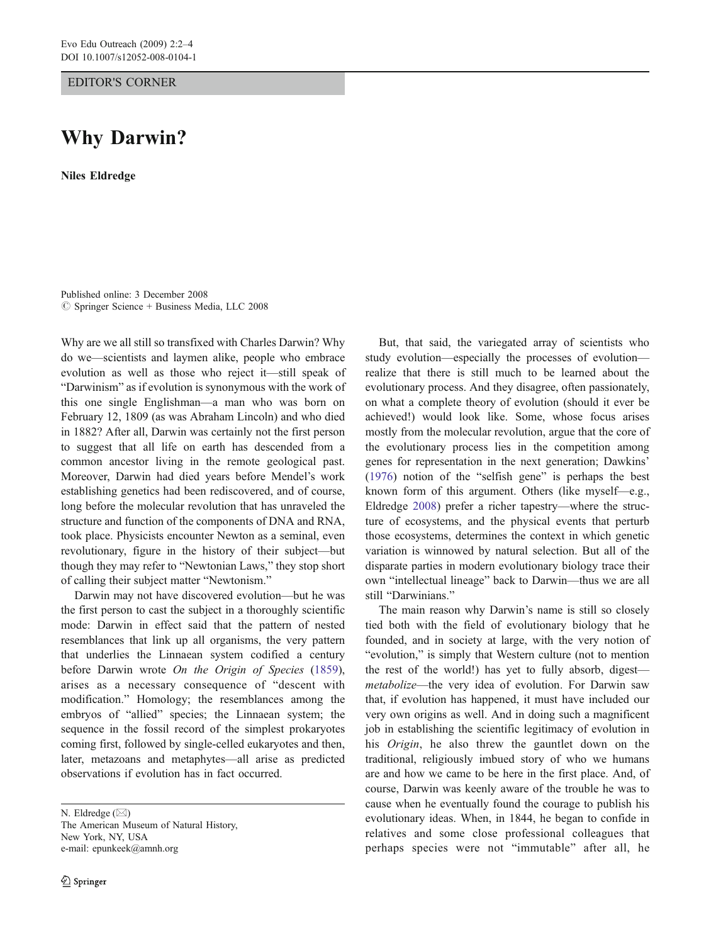EDITOR'S CORNER

## Why Darwin?

Niles Eldredge

Published online: 3 December 2008  $\oslash$  Springer Science + Business Media, LLC 2008

Why are we all still so transfixed with Charles Darwin? Why do we—scientists and laymen alike, people who embrace evolution as well as those who reject it—still speak of "Darwinism" as if evolution is synonymous with the work of this one single Englishman—a man who was born on February 12, 1809 (as was Abraham Lincoln) and who died in 1882? After all, Darwin was certainly not the first person to suggest that all life on earth has descended from a common ancestor living in the remote geological past. Moreover, Darwin had died years before Mendel's work establishing genetics had been rediscovered, and of course, long before the molecular revolution that has unraveled the structure and function of the components of DNA and RNA, took place. Physicists encounter Newton as a seminal, even revolutionary, figure in the history of their subject—but though they may refer to "Newtonian Laws," they stop short of calling their subject matter "Newtonism."

Darwin may not have discovered evolution—but he was the first person to cast the subject in a thoroughly scientific mode: Darwin in effect said that the pattern of nested resemblances that link up all organisms, the very pattern that underlies the Linnaean system codified a century before Darwin wrote On the Origin of Species [\(1859](#page-2-0)), arises as a necessary consequence of "descent with modification." Homology; the resemblances among the embryos of "allied" species; the Linnaean system; the sequence in the fossil record of the simplest prokaryotes coming first, followed by single-celled eukaryotes and then, later, metazoans and metaphytes—all arise as predicted observations if evolution has in fact occurred.

N. Eldredge ( $\boxtimes$ )

The American Museum of Natural History, New York, NY, USA e-mail: epunkeek@amnh.org

But, that said, the variegated array of scientists who study evolution—especially the processes of evolution realize that there is still much to be learned about the evolutionary process. And they disagree, often passionately, on what a complete theory of evolution (should it ever be achieved!) would look like. Some, whose focus arises mostly from the molecular revolution, argue that the core of the evolutionary process lies in the competition among genes for representation in the next generation; Dawkins' [\(1976](#page-2-0)) notion of the "selfish gene" is perhaps the best known form of this argument. Others (like myself—e.g., Eldredge [2008\)](#page-2-0) prefer a richer tapestry—where the structure of ecosystems, and the physical events that perturb those ecosystems, determines the context in which genetic variation is winnowed by natural selection. But all of the disparate parties in modern evolutionary biology trace their own "intellectual lineage" back to Darwin—thus we are all still "Darwinians."

The main reason why Darwin's name is still so closely tied both with the field of evolutionary biology that he founded, and in society at large, with the very notion of "evolution," is simply that Western culture (not to mention the rest of the world!) has yet to fully absorb, digest metabolize—the very idea of evolution. For Darwin saw that, if evolution has happened, it must have included our very own origins as well. And in doing such a magnificent job in establishing the scientific legitimacy of evolution in his Origin, he also threw the gauntlet down on the traditional, religiously imbued story of who we humans are and how we came to be here in the first place. And, of course, Darwin was keenly aware of the trouble he was to cause when he eventually found the courage to publish his evolutionary ideas. When, in 1844, he began to confide in relatives and some close professional colleagues that perhaps species were not "immutable" after all, he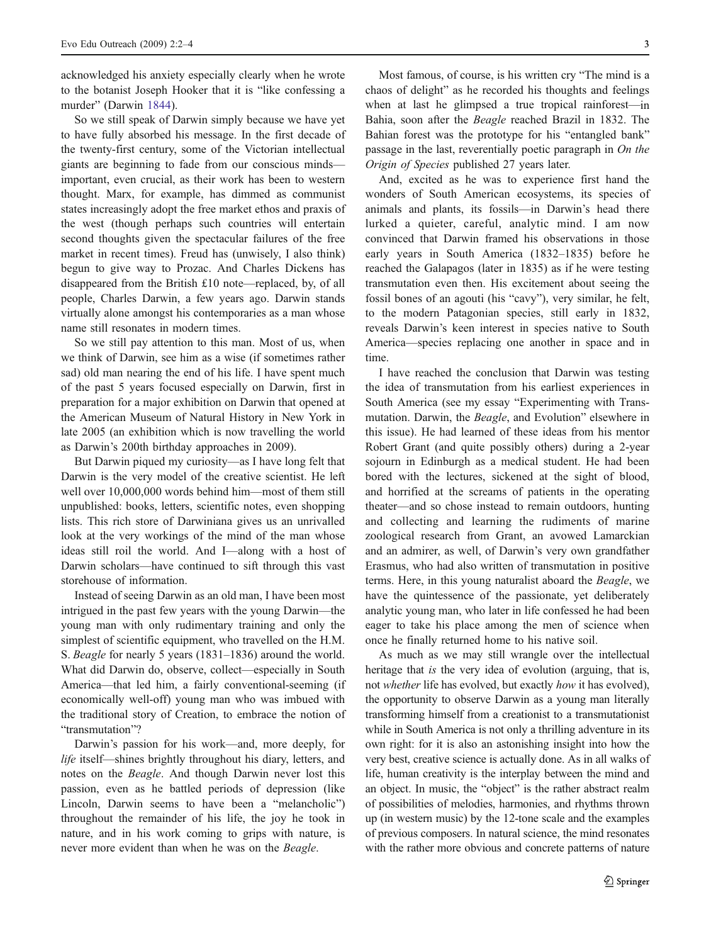acknowledged his anxiety especially clearly when he wrote to the botanist Joseph Hooker that it is "like confessing a murder" (Darwin [1844](#page-2-0)).

So we still speak of Darwin simply because we have yet to have fully absorbed his message. In the first decade of the twenty-first century, some of the Victorian intellectual giants are beginning to fade from our conscious minds important, even crucial, as their work has been to western thought. Marx, for example, has dimmed as communist states increasingly adopt the free market ethos and praxis of the west (though perhaps such countries will entertain second thoughts given the spectacular failures of the free market in recent times). Freud has (unwisely, I also think) begun to give way to Prozac. And Charles Dickens has disappeared from the British £10 note—replaced, by, of all people, Charles Darwin, a few years ago. Darwin stands virtually alone amongst his contemporaries as a man whose name still resonates in modern times.

So we still pay attention to this man. Most of us, when we think of Darwin, see him as a wise (if sometimes rather sad) old man nearing the end of his life. I have spent much of the past 5 years focused especially on Darwin, first in preparation for a major exhibition on Darwin that opened at the American Museum of Natural History in New York in late 2005 (an exhibition which is now travelling the world as Darwin's 200th birthday approaches in 2009).

But Darwin piqued my curiosity—as I have long felt that Darwin is the very model of the creative scientist. He left well over 10,000,000 words behind him—most of them still unpublished: books, letters, scientific notes, even shopping lists. This rich store of Darwiniana gives us an unrivalled look at the very workings of the mind of the man whose ideas still roil the world. And I—along with a host of Darwin scholars—have continued to sift through this vast storehouse of information.

Instead of seeing Darwin as an old man, I have been most intrigued in the past few years with the young Darwin—the young man with only rudimentary training and only the simplest of scientific equipment, who travelled on the H.M. S. Beagle for nearly 5 years (1831–1836) around the world. What did Darwin do, observe, collect—especially in South America—that led him, a fairly conventional-seeming (if economically well-off) young man who was imbued with the traditional story of Creation, to embrace the notion of "transmutation"?

Darwin's passion for his work—and, more deeply, for life itself—shines brightly throughout his diary, letters, and notes on the Beagle. And though Darwin never lost this passion, even as he battled periods of depression (like Lincoln, Darwin seems to have been a "melancholic") throughout the remainder of his life, the joy he took in nature, and in his work coming to grips with nature, is never more evident than when he was on the Beagle.

Most famous, of course, is his written cry "The mind is a chaos of delight" as he recorded his thoughts and feelings when at last he glimpsed a true tropical rainforest—in Bahia, soon after the Beagle reached Brazil in 1832. The Bahian forest was the prototype for his "entangled bank" passage in the last, reverentially poetic paragraph in On the Origin of Species published 27 years later.

And, excited as he was to experience first hand the wonders of South American ecosystems, its species of animals and plants, its fossils—in Darwin's head there lurked a quieter, careful, analytic mind. I am now convinced that Darwin framed his observations in those early years in South America (1832–1835) before he reached the Galapagos (later in 1835) as if he were testing transmutation even then. His excitement about seeing the fossil bones of an agouti (his "cavy"), very similar, he felt, to the modern Patagonian species, still early in 1832, reveals Darwin's keen interest in species native to South America—species replacing one another in space and in time.

I have reached the conclusion that Darwin was testing the idea of transmutation from his earliest experiences in South America (see my essay "Experimenting with Transmutation. Darwin, the Beagle, and Evolution" elsewhere in this issue). He had learned of these ideas from his mentor Robert Grant (and quite possibly others) during a 2-year sojourn in Edinburgh as a medical student. He had been bored with the lectures, sickened at the sight of blood, and horrified at the screams of patients in the operating theater—and so chose instead to remain outdoors, hunting and collecting and learning the rudiments of marine zoological research from Grant, an avowed Lamarckian and an admirer, as well, of Darwin's very own grandfather Erasmus, who had also written of transmutation in positive terms. Here, in this young naturalist aboard the Beagle, we have the quintessence of the passionate, yet deliberately analytic young man, who later in life confessed he had been eager to take his place among the men of science when once he finally returned home to his native soil.

As much as we may still wrangle over the intellectual heritage that *is* the very idea of evolution (arguing, that is, not whether life has evolved, but exactly how it has evolved), the opportunity to observe Darwin as a young man literally transforming himself from a creationist to a transmutationist while in South America is not only a thrilling adventure in its own right: for it is also an astonishing insight into how the very best, creative science is actually done. As in all walks of life, human creativity is the interplay between the mind and an object. In music, the "object" is the rather abstract realm of possibilities of melodies, harmonies, and rhythms thrown up (in western music) by the 12-tone scale and the examples of previous composers. In natural science, the mind resonates with the rather more obvious and concrete patterns of nature